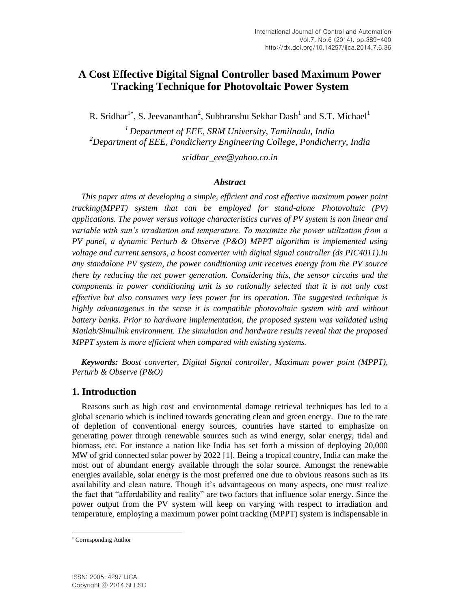# **A Cost Effective Digital Signal Controller based Maximum Power Tracking Technique for Photovoltaic Power System**

R. Sridhar<sup>1\*</sup>, S. Jeevananthan<sup>2</sup>, Subhranshu Sekhar Dash<sup>1</sup> and S.T. Michael<sup>1</sup>

*<sup>1</sup>Department of EEE, SRM University, Tamilnadu, India <sup>2</sup>Department of EEE, Pondicherry Engineering College, Pondicherry, India*

*sridhar\_eee@yahoo.co.in*

### *Abstract*

*This paper aims at developing a simple, efficient and cost effective maximum power point tracking(MPPT) system that can be employed for stand-alone Photovoltaic (PV) applications. The power versus voltage characteristics curves of PV system is non linear and variable with sun's irradiation and temperature. To maximize the power utilization from a PV panel, a dynamic Perturb & Observe (P&O) MPPT algorithm is implemented using voltage and current sensors, a boost converter with digital signal controller (ds PIC4011).In any standalone PV system, the power conditioning unit receives energy from the PV source there by reducing the net power generation. Considering this, the sensor circuits and the components in power conditioning unit is so rationally selected that it is not only cost effective but also consumes very less power for its operation. The suggested technique is highly advantageous in the sense it is compatible photovoltaic system with and without battery banks. Prior to hardware implementation, the proposed system was validated using Matlab/Simulink environment. The simulation and hardware results reveal that the proposed MPPT system is more efficient when compared with existing systems.*

*Keywords: Boost converter, Digital Signal controller, Maximum power point (MPPT), Perturb & Observe (P&O)*

### **1. Introduction**

 Reasons such as high cost and environmental damage retrieval techniques has led to a global scenario which is inclined towards generating clean and green energy. Due to the rate of depletion of conventional energy sources, countries have started to emphasize on generating power through renewable sources such as wind energy, solar energy, tidal and biomass, etc. For instance a nation like India has set forth a mission of deploying 20,000 MW of grid connected solar power by 2022 [1]. Being a tropical country, India can make the most out of abundant energy available through the solar source. Amongst the renewable energies available, solar energy is the most preferred one due to obvious reasons such as its availability and clean nature. Though it's advantageous on many aspects, one must realize the fact that "affordability and reality" are two factors that influence solar energy. Since the power output from the PV system will keep on varying with respect to irradiation and temperature, employing a maximum power point tracking (MPPT) system is indispensable in

l

Corresponding Author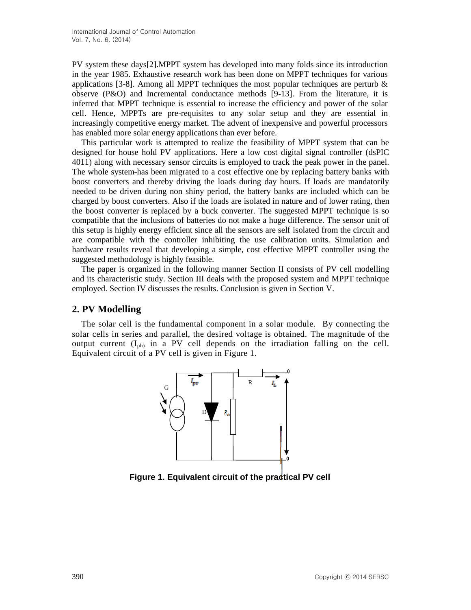PV system these days[2].MPPT system has developed into many folds since its introduction in the year 1985. Exhaustive research work has been done on MPPT techniques for various applications [3-8]. Among all MPPT techniques the most popular techniques are perturb  $\&$ observe (P&O) and Incremental conductance methods [9-13]. From the literature, it is inferred that MPPT technique is essential to increase the efficiency and power of the solar cell. Hence, MPPTs are pre-requisites to any solar setup and they are essential in increasingly competitive energy market. The advent of inexpensive and powerful processors has enabled more solar energy applications than ever before.

This particular work is attempted to realize the feasibility of MPPT system that can be designed for house hold PV applications. Here a low cost digital signal controller (dsPIC 4011) along with necessary sensor circuits is employed to track the peak power in the panel. The whole system has been migrated to a cost effective one by replacing battery banks with boost converters and thereby driving the loads during day hours. If loads are mandatorily needed to be driven during non shiny period, the battery banks are included which can be charged by boost converters. Also if the loads are isolated in nature and of lower rating, then the boost converter is replaced by a buck converter. The suggested MPPT technique is so compatible that the inclusions of batteries do not make a huge difference. The sensor unit of this setup is highly energy efficient since all the sensors are self isolated from the circuit and are compatible with the controller inhibiting the use calibration units. Simulation and hardware results reveal that developing a simple, cost effective MPPT controller using the suggested methodology is highly feasible.

The paper is organized in the following manner Section II consists of PV cell modelling and its characteristic study. Section III deals with the proposed system and MPPT technique employed. Section IV discusses the results. Conclusion is given in Section V.

# **2. PV Modelling**

The solar cell is the fundamental component in a solar module. By connecting the solar cells in series and parallel, the desired voltage is obtained. The magnitude of the output current  $(I_{ph})$  in a PV cell depends on the irradiation falling on the cell. Equivalent circuit of a PV cell is given in Figure 1.



**Figure 1. Equivalent circuit of the practical PV cell**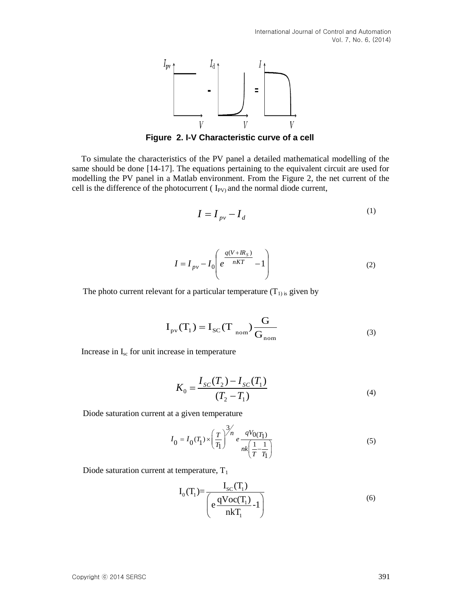

**Figure 2. I-V Characteristic curve of a cell**

To simulate the characteristics of the PV panel a detailed mathematical modelling of the same should be done [14-17]. The equations pertaining to the equivalent circuit are used for modelling the PV panel in a Matlab environment. From the Figure 2, the net current of the cell is the difference of the photocurrent ( $I_{PV}$ ) and the normal diode current,

$$
I = I_{pv} - I_d \tag{1}
$$

$$
I = I_{pv} - I_0 \left( e^{\frac{q(V + IR_S)}{nKT}} - 1 \right)
$$
 (2)

The photo current relevant for a particular temperature  $(T_{1) \text{ is}}$  given by

$$
I_{\text{pv}}(T_1) = I_{\text{SC}}(T_{\text{nom}}) \frac{G}{G_{\text{nom}}}
$$
 (3)

Increase in Isc for unit increase in temperature

$$
K_0 = \frac{I_{SC}(T_2) - I_{SC}(T_1)}{(T_2 - T_1)}
$$
\n(4)

Diode saturation current at a given temperature

$$
I_0 = I_0(T_1) \times \left(\frac{T}{T_1}\right)^{3/n} e^{-qV_0(T_1)} \frac{1}{nk\left(\frac{1}{T} - \frac{1}{T_1}\right)}
$$
(5)

Diode saturation current at temperature,  $T_1$ 

$$
I_0(T_1) = \frac{I_{sc}(T_1)}{\left(e \frac{qVoc(T_1)}{nkT_1} - 1\right)}
$$
(6)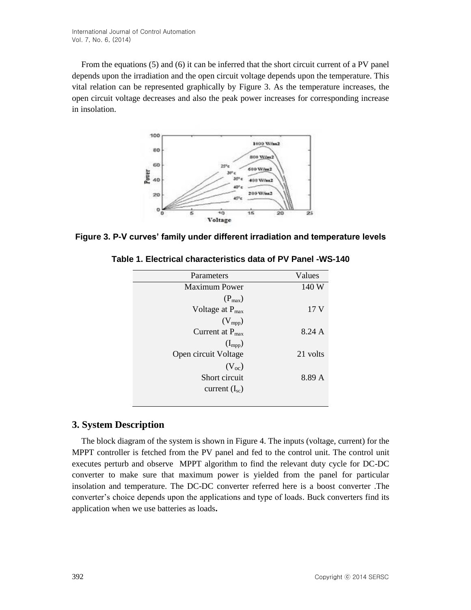From the equations (5) and (6) it can be inferred that the short circuit current of a PV panel depends upon the irradiation and the open circuit voltage depends upon the temperature. This vital relation can be represented graphically by Figure 3. As the temperature increases, the open circuit voltage decreases and also the peak power increases for corresponding increase in insolation.



**Figure 3. P-V curves' family under different irradiation and temperature levels**

| Parameters                  | Values   |
|-----------------------------|----------|
| <b>Maximum</b> Power        | 140 W    |
| $(P_{\text{max}})$          |          |
| Voltage at $P_{max}$        | 17 V     |
| $(V_{mpp})$                 |          |
| Current at $P_{\text{max}}$ | 8.24 A   |
| $(I_{mpp})$                 |          |
| Open circuit Voltage        | 21 volts |
| $(V_{oc})$                  |          |
| Short circuit               | 8.89 A   |
| current $(I_{sc})$          |          |
|                             |          |

| Table 1. Electrical characteristics data of PV Panel -WS-140 |  |
|--------------------------------------------------------------|--|
|--------------------------------------------------------------|--|

# **3. System Description**

The block diagram of the system is shown in Figure 4. The inputs (voltage, current) for the MPPT controller is fetched from the PV panel and fed to the control unit. The control unit executes perturb and observe MPPT algorithm to find the relevant duty cycle for DC-DC converter to make sure that maximum power is yielded from the panel for particular insolation and temperature. The DC-DC converter referred here is a boost converter .The converter's choice depends upon the applications and type of loads. Buck converters find its application when we use batteries as loads**.**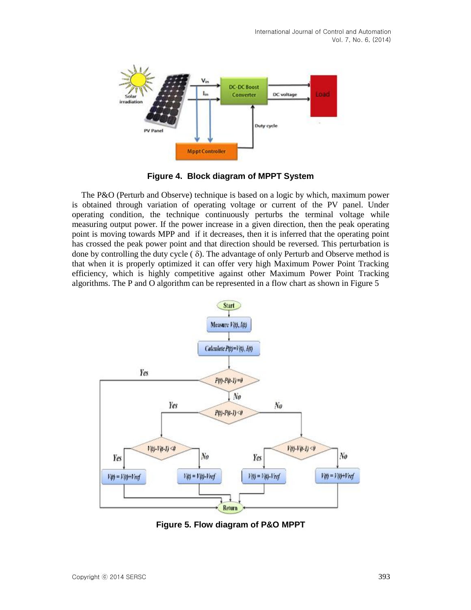

**Figure 4. Block diagram of MPPT System**

The P&O (Perturb and Observe) technique is based on a logic by which, maximum power is obtained through variation of operating voltage or current of the PV panel. Under operating condition, the technique continuously perturbs the terminal voltage while measuring output power. If the power increase in a given direction, then the peak operating point is moving towards MPP and if it decreases, then it is inferred that the operating point has crossed the peak power point and that direction should be reversed. This perturbation is done by controlling the duty cycle  $( \delta )$ . The advantage of only Perturb and Observe method is that when it is properly optimized it can offer very high Maximum Power Point Tracking efficiency, which is highly competitive against other Maximum Power Point Tracking algorithms. The P and O algorithm can be represented in a flow chart as shown in Figure 5



**Figure 5. Flow diagram of P&O MPPT**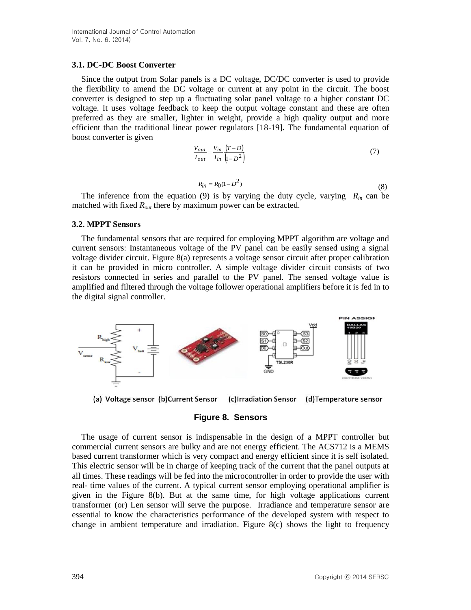#### **3.1. DC-DC Boost Converter**

Since the output from Solar panels is a DC voltage, DC/DC converter is used to provide the flexibility to amend the DC voltage or current at any point in the circuit. The boost converter is designed to step up a fluctuating solar panel voltage to a higher constant DC voltage. It uses voltage feedback to keep the output voltage constant and these are often preferred as they are smaller, lighter in weight, provide a high quality output and more efficient than the traditional linear power regulators [18-19]. The fundamental equation of boost converter is given

$$
\frac{V_{out}}{I_{out}} = \frac{V_{in}}{I_{in}} \frac{(T - D)}{(1 - D^2)}\tag{7}
$$

$$
R_{in} = R_0 (1 - D^2)
$$
 (8)

The inference from the equation (9) is by varying the duty cycle, varying  $R_{in}$  can be matched with fixed *Rout* there by maximum power can be extracted.

#### **3.2. MPPT Sensors**

The fundamental sensors that are required for employing MPPT algorithm are voltage and current sensors: Instantaneous voltage of the PV panel can be easily sensed using a signal voltage divider circuit. Figure 8(a) represents a voltage sensor circuit after proper calibration it can be provided in micro controller. A simple voltage divider circuit consists of two resistors connected in series and parallel to the PV panel. The sensed voltage value is amplified and filtered through the voltage follower operational amplifiers before it is fed in to the digital signal controller.



(a) Voltage sensor (b)Current Sensor (c)Irradiation Sensor (d)Temperature sensor

### **Figure 8. Sensors**

The usage of current sensor is indispensable in the design of a MPPT controller but commercial current sensors are bulky and are not energy efficient. The ACS712 is a MEMS based current transformer which is very compact and energy efficient since it is self isolated. This electric sensor will be in charge of keeping track of the current that the panel outputs at all times. These readings will be fed into the microcontroller in order to provide the user with real- time values of the current. A typical current sensor employing operational amplifier is given in the Figure 8(b). But at the same time, for high voltage applications current transformer (or) Len sensor will serve the purpose. Irradiance and temperature sensor are essential to know the characteristics performance of the developed system with respect to change in ambient temperature and irradiation. Figure  $8(c)$  shows the light to frequency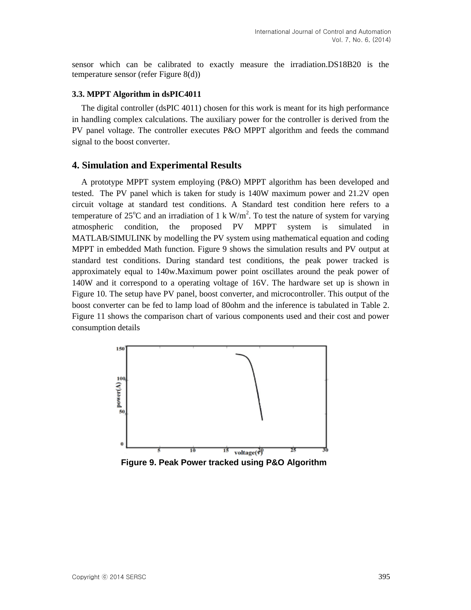sensor which can be calibrated to exactly measure the irradiation.DS18B20 is the temperature sensor (refer Figure 8(d))

#### **3.3. MPPT Algorithm in dsPIC4011**

The digital controller (dsPIC 4011) chosen for this work is meant for its high performance in handling complex calculations. The auxiliary power for the controller is derived from the PV panel voltage. The controller executes P&O MPPT algorithm and feeds the command signal to the boost converter.

### **4. Simulation and Experimental Results**

A prototype MPPT system employing (P&O) MPPT algorithm has been developed and tested. The PV panel which is taken for study is 140W maximum power and 21.2V open circuit voltage at standard test conditions. A Standard test condition here refers to a temperature of 25<sup>o</sup>C and an irradiation of 1 k  $W/m<sup>2</sup>$ . To test the nature of system for varying atmospheric condition, the proposed PV MPPT system is simulated in MATLAB/SIMULINK by modelling the PV system using mathematical equation and coding MPPT in embedded Math function. Figure 9 shows the simulation results and PV output at standard test conditions. During standard test conditions, the peak power tracked is approximately equal to 140w.Maximum power point oscillates around the peak power of 140W and it correspond to a operating voltage of 16V. The hardware set up is shown in Figure 10. The setup have PV panel, boost converter, and microcontroller. This output of the boost converter can be fed to lamp load of 80ohm and the inference is tabulated in Table 2. Figure 11 shows the comparison chart of various components used and their cost and power consumption details



**Figure 9. Peak Power tracked using P&O Algorithm**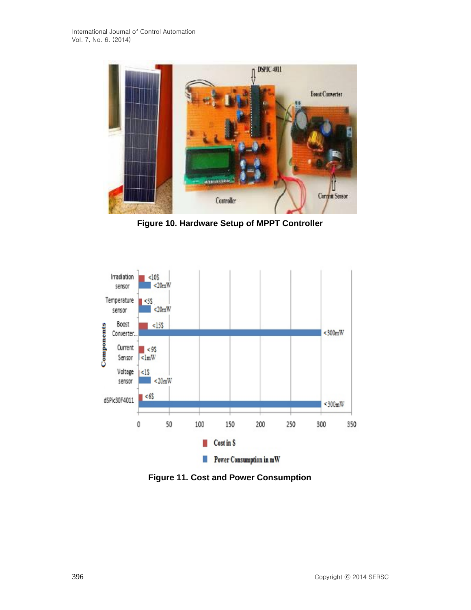

**Figure 10. Hardware Setup of MPPT Controller**



**Figure 11. Cost and Power Consumption**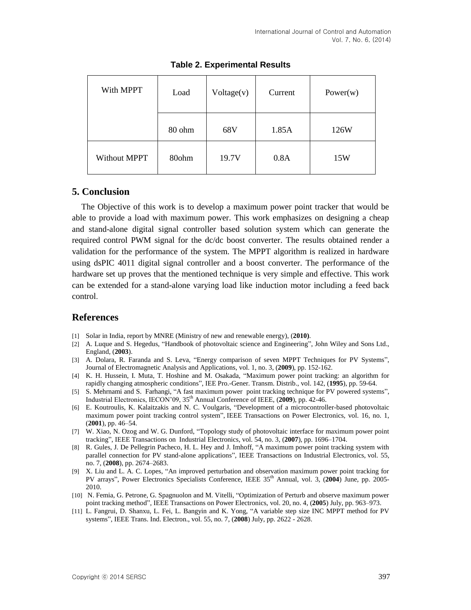| With MPPT    | Load   | Voltage(v) | Current | Power(w) |
|--------------|--------|------------|---------|----------|
|              | 80 ohm | 68V        | 1.85A   | 126W     |
| Without MPPT | 80ohm  | 19.7V      | 0.8A    | 15W      |

**Table 2. Experimental Results**

# **5. Conclusion**

The Objective of this work is to develop a maximum power point tracker that would be able to provide a load with maximum power. This work emphasizes on designing a cheap and stand-alone digital signal controller based solution system which can generate the required control PWM signal for the dc/dc boost converter. The results obtained render a validation for the performance of the system. The MPPT algorithm is realized in hardware using dsPIC 4011 digital signal controller and a boost converter. The performance of the hardware set up proves that the mentioned technique is very simple and effective. This work can be extended for a stand-alone varying load like induction motor including a feed back control.

## **References**

- [1] Solar in India, report by MNRE (Ministry of new and renewable energy), (**2010)**.
- [2] A. Luque and S. Hegedus, "Handbook of photovoltaic science and Engineering", John Wiley and Sons Ltd., England, (**2003**).
- [3] A. Dolara, R. Faranda and S. Leva, "Energy comparison of seven MPPT Techniques for PV Systems", Journal of Electromagnetic Analysis and Applications, vol. 1, no. 3, (**2009**), pp. 152-162.
- [4] K. H. Hussein, I. Muta, T. Hoshine and M. Osakada, "Maximum power point tracking: an algorithm for rapidly changing atmospheric conditions", IEE Pro.-Gener. Transm. Distrib., vol. 142, (**1995**), pp. 59-64.
- [5] S. [Mehrnami](http://ieeexplore.ieee.org/search/searchresult.jsp?searchWithin=p_Authors:.QT.Mehrnami,%20S..QT.&searchWithin=p_Author_Ids:37395260300&newsearch=true) and S. [Farhangi, "](http://ieeexplore.ieee.org/search/searchresult.jsp?searchWithin=p_Authors:.QT.Farhangi,%20S..QT.&searchWithin=p_Author_Ids:37299235100&newsearch=true)A fast maximum power point tracking technique for PV powered systems", Industrial Electronics, IECON'09, 35th Annual Conference of IEEE, (**2009**), pp. 42-46.
- [6] E. Koutroulis, K. Kalaitzakis and N. C. Voulgaris, "Development of a microcontroller-based photovoltaic maximum power point tracking control system", IEEE Transactions on Power Electronics, vol. 16, no. 1, (**2001**), pp. 46–54.
- [7] W. Xiao, N. Ozog and W. G. Dunford, "Topology study of photovoltaic interface for maximum power point tracking", IEEE Transactions on Industrial Electronics, vol. 54, no. 3, (**2007**), pp. 1696–1704.
- [8] R. Gules, J. De Pellegrin Pacheco, H. L. Hey and J. Imhoff, "A maximum power point tracking system with parallel connection for PV stand-alone applications", IEEE Transactions on Industrial Electronics, vol. 55, no. 7, (**2008**), pp. 2674–2683.
- [9] X. Liu and L. A. C. Lopes, "An improved perturbation and observation maximum power point tracking for PV arrays", Power Electronics Specialists Conference, IEEE 35<sup>th</sup> Annual, vol. 3, (2004) June, pp. 2005-2010.
- [10] N. Femia, G. Petrone, G. Spagnuolon and M. Vitelli, "Optimization of Perturb and observe maximum power point tracking method", IEEE Transactions on Power Electronics, vol. 20, no. 4, (**2005**) July, pp. 963–973.
- [11] L. Fangrui, D. Shanxu, L. Fei, L. Bangyin and K. Yong, "A variable step size INC MPPT method for PV systems", IEEE Trans. Ind. Electron., vol. 55, no. 7, (**2008**) July, pp. 2622 - 2628.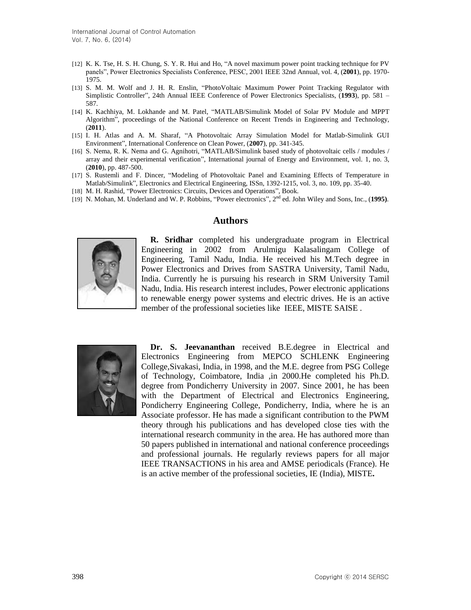- [12] K. K. Tse, H. S. H. Chung, S. Y. R. Hui and Ho, "A novel maximum power point tracking technique for PV panels", Power Electronics Specialists Conference, PESC, 2001 IEEE 32nd Annual, vol. 4, (**2001**), pp. 1970- 1975.
- [13] S. M. M. Wolf and J. H. R. Enslin, "PhotoVoltaic Maximum Power Point Tracking Regulator with Simplistic Controller", 24th Annual IEEE Conference of Power Electronics Specialists, (**1993**), pp. 581 – 587.
- [14] K. Kachhiya, M. Lokhande and M. Patel, "MATLAB/Simulink Model of Solar PV Module and MPPT Algorithm", proceedings of the National Conference on Recent Trends in Engineering and Technology, (**2011**).
- [15] I. H. Atlas and A. M. Sharaf, "A Photovoltaic Array Simulation Model for Matlab-Simulink GUI Environment", International Conference on Clean Power, (**2007**), pp. 341-345.
- [16] S. Nema, R. K. Nema and G. Agnihotri, "MATLAB/Simulink based study of photovoltaic cells / modules / array and their experimental verification", International journal of Energy and Environment, vol. 1, no. 3, (**2010**), pp. 487-500.
- [17] S. Rustemli and F. Dincer, "Modeling of Photovoltaic Panel and Examining Effects of Temperature in Matlab/Simulink", Electronics and Electrical Engineering, ISSn, 1392-1215, vol. 3, no. 109, pp. 35-40.
- [18] M. H. Rashid, "Power Electronics: Circuits, Devices and Operations", Book.
- [19] N. Mohan, M. Underland and W. P. Robbins, "Power electronics", 2nd ed. John Wiley and Sons, Inc., (**1995)**.

#### **Authors**



**R. Sridhar** completed his undergraduate program in Electrical Engineering in 2002 from Arulmigu Kalasalingam College of Engineering, Tamil Nadu, India. He received his M.Tech degree in Power Electronics and Drives from SASTRA University, Tamil Nadu, India. Currently he is pursuing his research in SRM University Tamil Nadu, India. His research interest includes, Power electronic applications to renewable energy power systems and electric drives. He is an active member of the professional societies like IEEE, MISTE SAISE .



**Dr. S. Jeevananthan** received B.E.degree in Electrical and Electronics Engineering from MEPCO SCHLENK Engineering College,Sivakasi, India, in 1998, and the M.E. degree from PSG College of Technology, Coimbatore, India ,in 2000.He completed his Ph.D. degree from Pondicherry University in 2007. Since 2001, he has been with the Department of Electrical and Electronics Engineering, Pondicherry Engineering College, Pondicherry, India, where he is an Associate professor. He has made a significant contribution to the PWM theory through his publications and has developed close ties with the international research community in the area. He has authored more than 50 papers published in international and national conference proceedings and professional journals. He regularly reviews papers for all major IEEE TRANSACTIONS in his area and AMSE periodicals (France). He is an active member of the professional societies, IE (India), MISTE**.**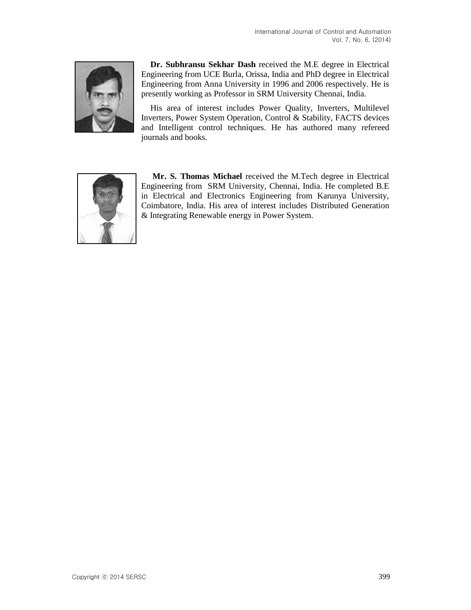

**Dr. Subhransu Sekhar Dash** received the M.E degree in Electrical Engineering from UCE Burla, Orissa, India and PhD degree in Electrical Engineering from Anna University in 1996 and 2006 respectively. He is presently working as Professor in SRM University Chennai, India.

His area of interest includes Power Quality, Inverters, Multilevel Inverters, Power System Operation, Control & Stability, FACTS devices and Intelligent control techniques. He has authored many refereed journals and books.



**Mr. S. Thomas Michael** received the M.Tech degree in Electrical Engineering from SRM University, Chennai, India. He completed B.E in Electrical and Electronics Engineering from Karunya University, Coimbatore, India. His area of interest includes Distributed Generation & Integrating Renewable energy in Power System.